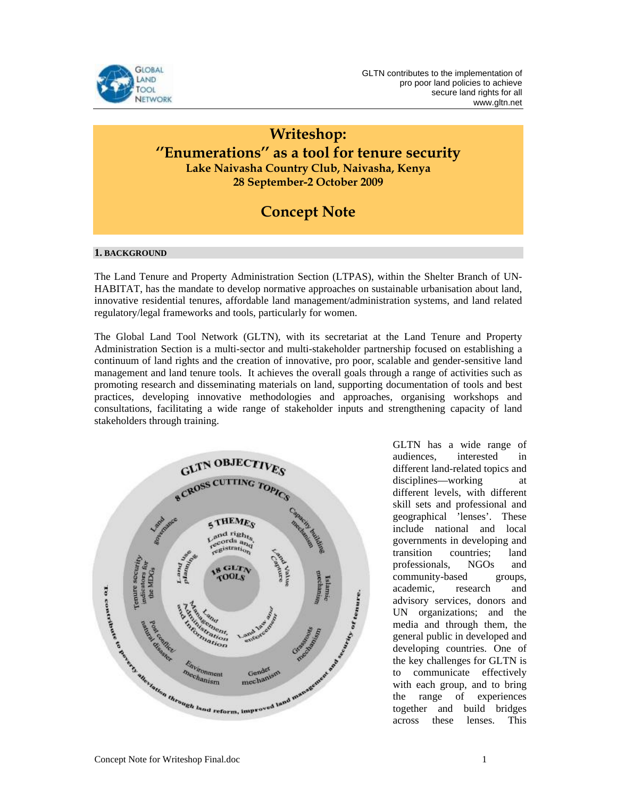

### **Writeshop: ''Enumerations'' as a tool for tenure security Lake Naivasha Country Club, Naivasha, Kenya 28 September-2 October 2009**

## **Concept Note**

#### **1. BACKGROUND**

The Land Tenure and Property Administration Section (LTPAS), within the Shelter Branch of UN-HABITAT, has the mandate to develop normative approaches on sustainable urbanisation about land, innovative residential tenures, affordable land management/administration systems, and land related regulatory/legal frameworks and tools, particularly for women.

The Global Land Tool Network (GLTN), with its secretariat at the Land Tenure and Property Administration Section is a multi-sector and multi-stakeholder partnership focused on establishing a continuum of land rights and the creation of innovative, pro poor, scalable and gender-sensitive land management and land tenure tools. It achieves the overall goals through a range of activities such as promoting research and disseminating materials on land, supporting documentation of tools and best practices, developing innovative methodologies and approaches, organising workshops and consultations, facilitating a wide range of stakeholder inputs and strengthening capacity of land stakeholders through training.



GLTN has a wide range of audiences, interested in different land-related topics and disciplines—working at different levels, with different skill sets and professional and geographical 'lenses'. These include national and local governments in developing and transition countries; land professionals, NGOs and community-based groups, academic, research and advisory services, donors and UN organizations; and the media and through them, the general public in developed and developing countries. One of the key challenges for GLTN is to communicate effectively with each group, and to bring the range of experiences together and build bridges across these lenses. This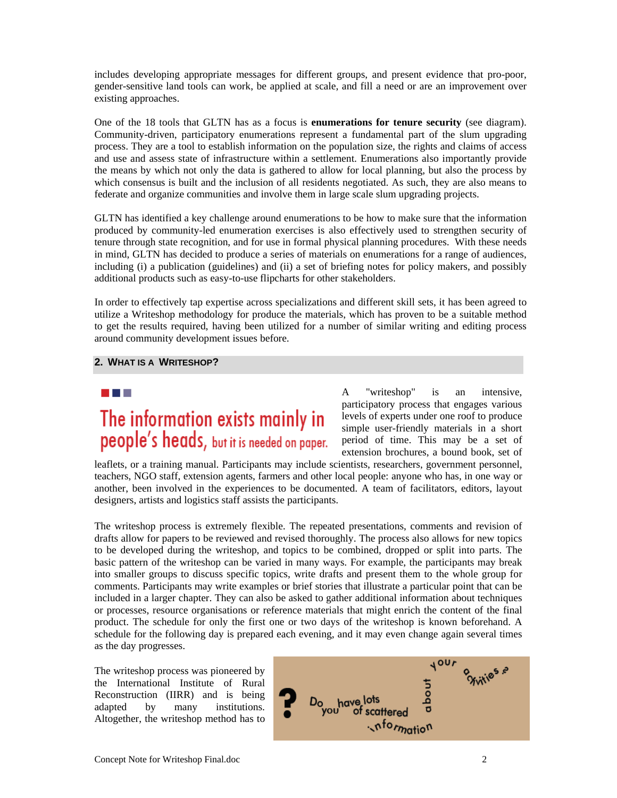includes developing appropriate messages for different groups, and present evidence that pro-poor, gender-sensitive land tools can work, be applied at scale, and fill a need or are an improvement over existing approaches.

One of the 18 tools that GLTN has as a focus is **enumerations for tenure security** (see diagram). Community-driven, participatory enumerations represent a fundamental part of the slum upgrading process. They are a tool to establish information on the population size, the rights and claims of access and use and assess state of infrastructure within a settlement. Enumerations also importantly provide the means by which not only the data is gathered to allow for local planning, but also the process by which consensus is built and the inclusion of all residents negotiated. As such, they are also means to federate and organize communities and involve them in large scale slum upgrading projects.

GLTN has identified a key challenge around enumerations to be how to make sure that the information produced by community-led enumeration exercises is also effectively used to strengthen security of tenure through state recognition, and for use in formal physical planning procedures. With these needs in mind, GLTN has decided to produce a series of materials on enumerations for a range of audiences, including (i) a publication (guidelines) and (ii) a set of briefing notes for policy makers, and possibly additional products such as easy-to-use flipcharts for other stakeholders.

In order to effectively tap expertise across specializations and different skill sets, it has been agreed to utilize a Writeshop methodology for produce the materials, which has proven to be a suitable method to get the results required, having been utilized for a number of similar writing and editing process around community development issues before.

#### **2. WHAT IS A WRITESHOP?**

# a kacamatan The information exists mainly in people's heads, but it is needed on paper.

A "writeshop" is an intensive, participatory process that engages various levels of experts under one roof to produce simple user-friendly materials in a short period of time. This may be a set of extension brochures, a bound book, set of

leaflets, or a training manual. Participants may include scientists, researchers, government personnel, teachers, NGO staff, extension agents, farmers and other local people: anyone who has, in one way or another, been involved in the experiences to be documented. A team of facilitators, editors, layout designers, artists and logistics staff assists the participants.

The writeshop process is extremely flexible. The repeated presentations, comments and revision of drafts allow for papers to be reviewed and revised thoroughly. The process also allows for new topics to be developed during the writeshop, and topics to be combined, dropped or split into parts. The basic pattern of the writeshop can be varied in many ways. For example, the participants may break into smaller groups to discuss specific topics, write drafts and present them to the whole group for comments. Participants may write examples or brief stories that illustrate a particular point that can be included in a larger chapter. They can also be asked to gather additional information about techniques or processes, resource organisations or reference materials that might enrich the content of the final product. The schedule for only the first one or two days of the writeshop is known beforehand. A schedule for the following day is prepared each evening, and it may even change again several times as the day progresses.

The writeshop process was pioneered by the International Institute of Rural Reconstruction (IIRR) and is being adapted by many institutions. Altogether, the writeshop method has to

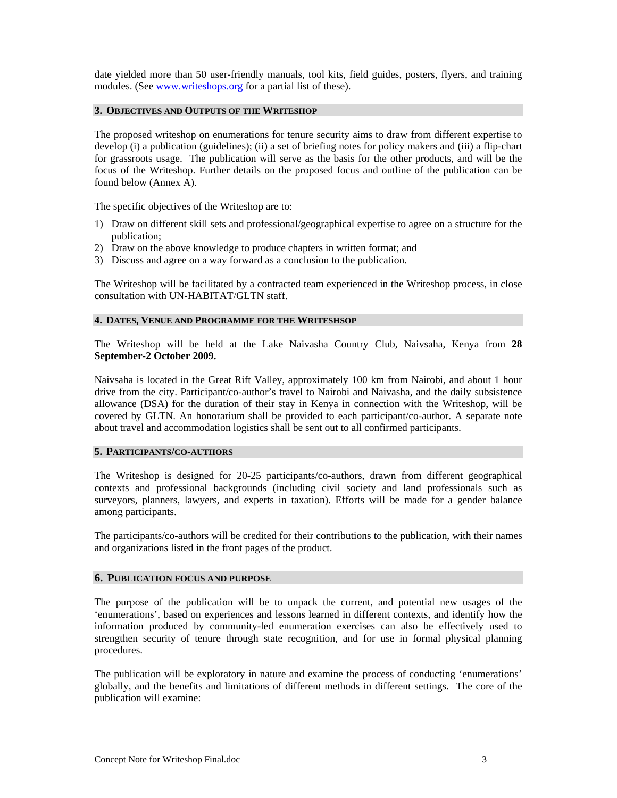date yielded more than 50 user-friendly manuals, tool kits, field guides, posters, flyers, and training modules. (See www.writeshops.org for a partial list of these).

#### **3. OBJECTIVES AND OUTPUTS OF THE WRITESHOP**

The proposed writeshop on enumerations for tenure security aims to draw from different expertise to develop (i) a publication (guidelines); (ii) a set of briefing notes for policy makers and (iii) a flip-chart for grassroots usage. The publication will serve as the basis for the other products, and will be the focus of the Writeshop. Further details on the proposed focus and outline of the publication can be found below (Annex A).

The specific objectives of the Writeshop are to:

- 1) Draw on different skill sets and professional/geographical expertise to agree on a structure for the publication;
- 2) Draw on the above knowledge to produce chapters in written format; and
- 3) Discuss and agree on a way forward as a conclusion to the publication.

The Writeshop will be facilitated by a contracted team experienced in the Writeshop process, in close consultation with UN-HABITAT/GLTN staff.

#### **4. DATES, VENUE AND PROGRAMME FOR THE WRITESHSOP**

The Writeshop will be held at the Lake Naivasha Country Club, Naivsaha, Kenya from **28 September-2 October 2009.**

Naivsaha is located in the Great Rift Valley, approximately 100 km from Nairobi, and about 1 hour drive from the city. Participant/co-author's travel to Nairobi and Naivasha, and the daily subsistence allowance (DSA) for the duration of their stay in Kenya in connection with the Writeshop, will be covered by GLTN. An honorarium shall be provided to each participant/co-author. A separate note about travel and accommodation logistics shall be sent out to all confirmed participants.

#### **5. PARTICIPANTS/CO-AUTHORS**

The Writeshop is designed for 20-25 participants/co-authors, drawn from different geographical contexts and professional backgrounds (including civil society and land professionals such as surveyors, planners, lawyers, and experts in taxation). Efforts will be made for a gender balance among participants.

The participants/co-authors will be credited for their contributions to the publication, with their names and organizations listed in the front pages of the product.

#### **6. PUBLICATION FOCUS AND PURPOSE**

The purpose of the publication will be to unpack the current, and potential new usages of the 'enumerations', based on experiences and lessons learned in different contexts, and identify how the information produced by community-led enumeration exercises can also be effectively used to strengthen security of tenure through state recognition, and for use in formal physical planning procedures.

The publication will be exploratory in nature and examine the process of conducting 'enumerations' globally, and the benefits and limitations of different methods in different settings. The core of the publication will examine: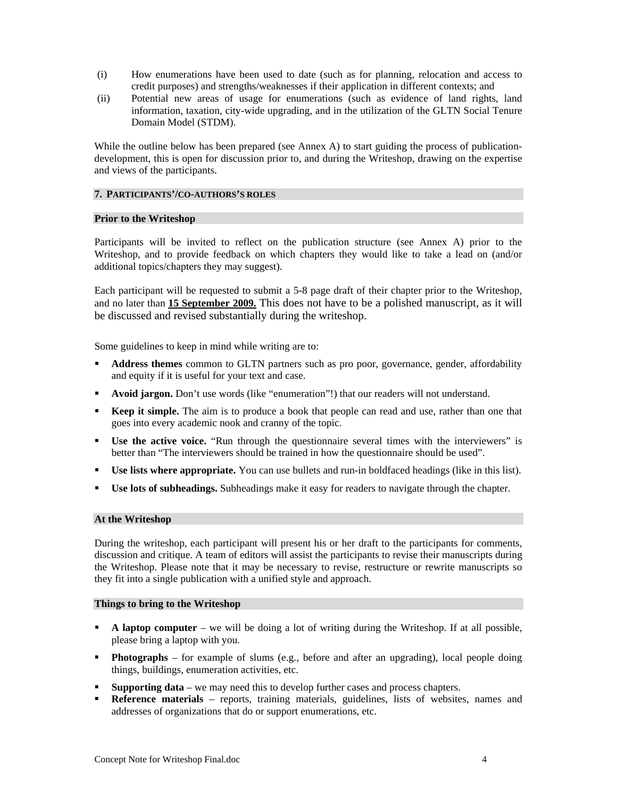- (i) How enumerations have been used to date (such as for planning, relocation and access to credit purposes) and strengths/weaknesses if their application in different contexts; and
- (ii) Potential new areas of usage for enumerations (such as evidence of land rights, land information, taxation, city-wide upgrading, and in the utilization of the GLTN Social Tenure Domain Model (STDM).

While the outline below has been prepared (see Annex A) to start guiding the process of publicationdevelopment, this is open for discussion prior to, and during the Writeshop, drawing on the expertise and views of the participants.

#### **7. PARTICIPANTS'/CO-AUTHORS'S ROLES**

#### **Prior to the Writeshop**

Participants will be invited to reflect on the publication structure (see Annex A) prior to the Writeshop, and to provide feedback on which chapters they would like to take a lead on (and/or additional topics/chapters they may suggest).

Each participant will be requested to submit a 5-8 page draft of their chapter prior to the Writeshop, and no later than **15 September 2009.** This does not have to be a polished manuscript, as it will be discussed and revised substantially during the writeshop.

Some guidelines to keep in mind while writing are to:

- **Address themes** common to GLTN partners such as pro poor, governance, gender, affordability and equity if it is useful for your text and case.
- **Avoid jargon.** Don't use words (like "enumeration"!) that our readers will not understand.
- **Keep it simple.** The aim is to produce a book that people can read and use, rather than one that goes into every academic nook and cranny of the topic.
- **Use the active voice.** "Run through the questionnaire several times with the interviewers" is better than "The interviewers should be trained in how the questionnaire should be used".
- **Use lists where appropriate.** You can use bullets and run-in boldfaced headings (like in this list).
- **Use lots of subheadings.** Subheadings make it easy for readers to navigate through the chapter.

#### **At the Writeshop**

During the writeshop, each participant will present his or her draft to the participants for comments, discussion and critique. A team of editors will assist the participants to revise their manuscripts during the Writeshop. Please note that it may be necessary to revise, restructure or rewrite manuscripts so they fit into a single publication with a unified style and approach.

#### **Things to bring to the Writeshop**

- **A laptop computer** we will be doing a lot of writing during the Writeshop. If at all possible, please bring a laptop with you.
- **Photographs** for example of slums (e.g., before and after an upgrading), local people doing things, buildings, enumeration activities, etc.
- **Supporting data** we may need this to develop further cases and process chapters.
- **Reference materials** reports, training materials, guidelines, lists of websites, names and addresses of organizations that do or support enumerations, etc.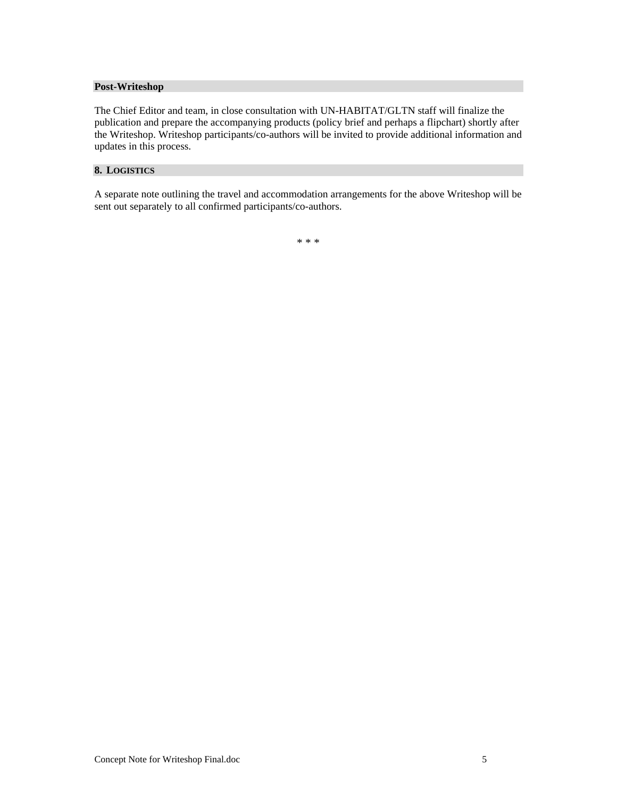#### **Post-Writeshop**

The Chief Editor and team, in close consultation with UN-HABITAT/GLTN staff will finalize the publication and prepare the accompanying products (policy brief and perhaps a flipchart) shortly after the Writeshop. Writeshop participants/co-authors will be invited to provide additional information and updates in this process.

#### **8. LOGISTICS**

A separate note outlining the travel and accommodation arrangements for the above Writeshop will be sent out separately to all confirmed participants/co-authors.

\* \* \*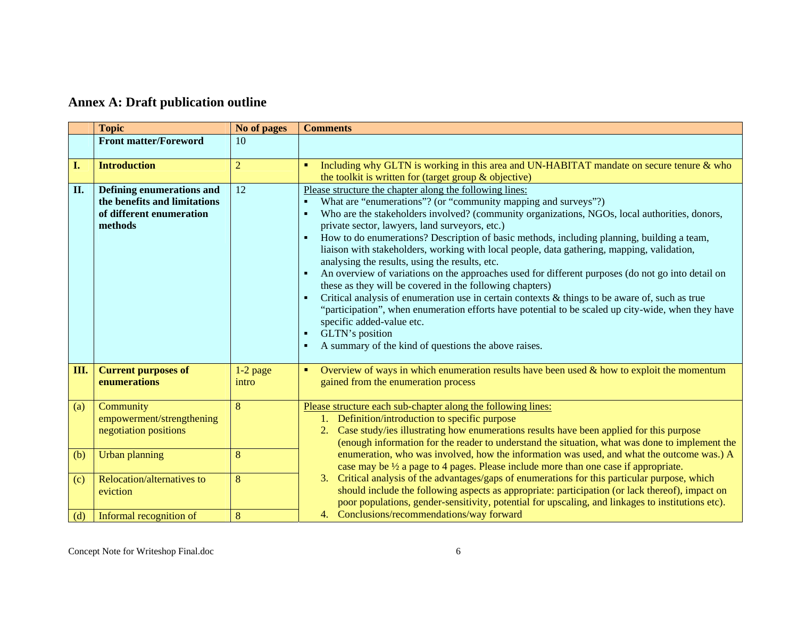## **Annex A: Draft publication outline**

|     | <b>Topic</b>                                                                                            | No of pages         | <b>Comments</b>                                                                                                                                                                                                                                                                                                                                                                                                                                                                                                                                                                                                                                                                                                                                                                                                                                                                                                                                                                                                                                   |
|-----|---------------------------------------------------------------------------------------------------------|---------------------|---------------------------------------------------------------------------------------------------------------------------------------------------------------------------------------------------------------------------------------------------------------------------------------------------------------------------------------------------------------------------------------------------------------------------------------------------------------------------------------------------------------------------------------------------------------------------------------------------------------------------------------------------------------------------------------------------------------------------------------------------------------------------------------------------------------------------------------------------------------------------------------------------------------------------------------------------------------------------------------------------------------------------------------------------|
|     | <b>Front matter/Foreword</b>                                                                            | 10                  |                                                                                                                                                                                                                                                                                                                                                                                                                                                                                                                                                                                                                                                                                                                                                                                                                                                                                                                                                                                                                                                   |
| I.  | <b>Introduction</b>                                                                                     | $\overline{2}$      | Including why GLTN is working in this area and UN-HABITAT mandate on secure tenure & who<br>$\blacksquare$<br>the toolkit is written for (target group & objective)                                                                                                                                                                                                                                                                                                                                                                                                                                                                                                                                                                                                                                                                                                                                                                                                                                                                               |
| П.  | <b>Defining enumerations and</b><br>the benefits and limitations<br>of different enumeration<br>methods | 12                  | Please structure the chapter along the following lines:<br>What are "enumerations"? (or "community mapping and surveys"?)<br>٠<br>Who are the stakeholders involved? (community organizations, NGOs, local authorities, donors,<br>$\blacksquare$<br>private sector, lawyers, land surveyors, etc.)<br>How to do enumerations? Description of basic methods, including planning, building a team,<br>liaison with stakeholders, working with local people, data gathering, mapping, validation,<br>analysing the results, using the results, etc.<br>An overview of variations on the approaches used for different purposes (do not go into detail on<br>these as they will be covered in the following chapters)<br>Critical analysis of enumeration use in certain contexts & things to be aware of, such as true<br>п<br>"participation", when enumeration efforts have potential to be scaled up city-wide, when they have<br>specific added-value etc.<br>GLTN's position<br>п<br>A summary of the kind of questions the above raises.<br>л |
| Ш.  | <b>Current purposes of</b><br>enumerations                                                              | $1-2$ page<br>intro | Overview of ways in which enumeration results have been used $\&$ how to exploit the momentum<br>п<br>gained from the enumeration process                                                                                                                                                                                                                                                                                                                                                                                                                                                                                                                                                                                                                                                                                                                                                                                                                                                                                                         |
| (a) | Community<br>empowerment/strengthening<br>negotiation positions                                         | 8                   | Please structure each sub-chapter along the following lines:<br>1. Definition/introduction to specific purpose<br>2. Case study/ies illustrating how enumerations results have been applied for this purpose<br>(enough information for the reader to understand the situation, what was done to implement the                                                                                                                                                                                                                                                                                                                                                                                                                                                                                                                                                                                                                                                                                                                                    |
| (b) | <b>Urban planning</b>                                                                                   | 8                   | enumeration, who was involved, how the information was used, and what the outcome was.) A<br>case may be $\frac{1}{2}$ a page to 4 pages. Please include more than one case if appropriate.                                                                                                                                                                                                                                                                                                                                                                                                                                                                                                                                                                                                                                                                                                                                                                                                                                                       |
| (c) | Relocation/alternatives to<br>eviction                                                                  | 8                   | 3. Critical analysis of the advantages/gaps of enumerations for this particular purpose, which<br>should include the following aspects as appropriate: participation (or lack thereof), impact on<br>poor populations, gender-sensitivity, potential for upscaling, and linkages to institutions etc).                                                                                                                                                                                                                                                                                                                                                                                                                                                                                                                                                                                                                                                                                                                                            |
| (d) | Informal recognition of                                                                                 | 8                   | 4. Conclusions/recommendations/way forward                                                                                                                                                                                                                                                                                                                                                                                                                                                                                                                                                                                                                                                                                                                                                                                                                                                                                                                                                                                                        |